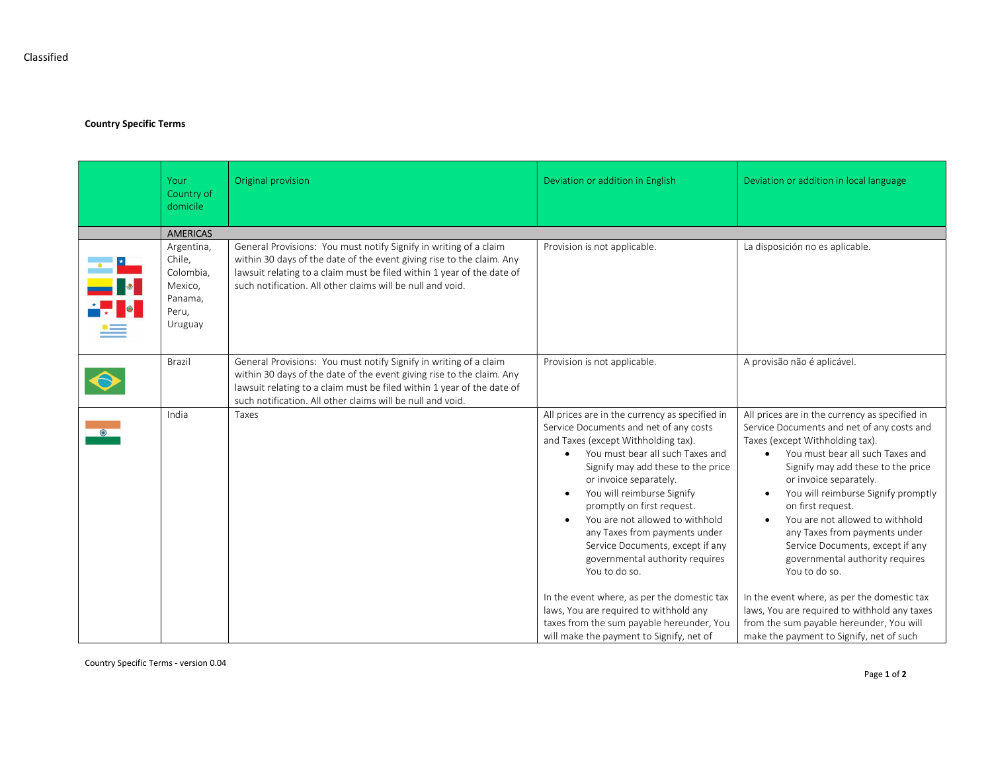Classified

## Country Specific Terms

|                                          | Your<br>Country of<br>domicile                                              | Original provision                                                                                                                                                                                                                                                                 | Deviation or addition in English                                                                                                                                                                                                                                                                                                                                                                                                                                                                   | Deviation or addition in local language                                                                                                                                                                                                                                                                                                                                                                                                                                    |  |  |
|------------------------------------------|-----------------------------------------------------------------------------|------------------------------------------------------------------------------------------------------------------------------------------------------------------------------------------------------------------------------------------------------------------------------------|----------------------------------------------------------------------------------------------------------------------------------------------------------------------------------------------------------------------------------------------------------------------------------------------------------------------------------------------------------------------------------------------------------------------------------------------------------------------------------------------------|----------------------------------------------------------------------------------------------------------------------------------------------------------------------------------------------------------------------------------------------------------------------------------------------------------------------------------------------------------------------------------------------------------------------------------------------------------------------------|--|--|
|                                          | <b>AMERICAS</b>                                                             |                                                                                                                                                                                                                                                                                    |                                                                                                                                                                                                                                                                                                                                                                                                                                                                                                    |                                                                                                                                                                                                                                                                                                                                                                                                                                                                            |  |  |
| <mark>—— *</mark><br>—— ∎•∎<br>* ,     • | Argentina,<br>Chile,<br>Colombia,<br>Mexico,<br>Panama,<br>Peru,<br>Uruguay | General Provisions: You must notify Signify in writing of a claim<br>within 30 days of the date of the event giving rise to the claim. Any<br>lawsuit relating to a claim must be filed within 1 year of the date of<br>such notification. All other claims will be null and void. | Provision is not applicable.                                                                                                                                                                                                                                                                                                                                                                                                                                                                       | La disposición no es aplicable.                                                                                                                                                                                                                                                                                                                                                                                                                                            |  |  |
| $\bullet$                                | Brazil                                                                      | General Provisions: You must notify Signify in writing of a claim<br>within 30 days of the date of the event giving rise to the claim. Any<br>lawsuit relating to a claim must be filed within 1 year of the date of<br>such notification. All other claims will be null and void. | Provision is not applicable.                                                                                                                                                                                                                                                                                                                                                                                                                                                                       | A provisão não é aplicável.                                                                                                                                                                                                                                                                                                                                                                                                                                                |  |  |
|                                          | India                                                                       | Taxes                                                                                                                                                                                                                                                                              | All prices are in the currency as specified in<br>Service Documents and net of any costs<br>and Taxes (except Withholding tax).<br>You must bear all such Taxes and<br>$\bullet$<br>Signify may add these to the price<br>or invoice separately.<br>You will reimburse Signify<br>$\bullet$<br>promptly on first request.<br>You are not allowed to withhold<br>$\bullet$<br>any Taxes from payments under<br>Service Documents, except if any<br>governmental authority requires<br>You to do so. | All prices are in the currency as specified in<br>Service Documents and net of any costs and<br>Taxes (except Withholding tax).<br>• You must bear all such Taxes and<br>Signify may add these to the price<br>or invoice separately.<br>You will reimburse Signify promptly<br>on first request.<br>You are not allowed to withhold<br>$\bullet$<br>any Taxes from payments under<br>Service Documents, except if any<br>governmental authority requires<br>You to do so. |  |  |
|                                          |                                                                             |                                                                                                                                                                                                                                                                                    | In the event where, as per the domestic tax<br>laws, You are required to withhold any<br>taxes from the sum payable hereunder, You<br>will make the payment to Signify, net of                                                                                                                                                                                                                                                                                                                     | In the event where, as per the domestic tax<br>laws, You are required to withhold any taxes<br>from the sum payable hereunder, You will<br>make the payment to Signify, net of such                                                                                                                                                                                                                                                                                        |  |  |

Country Specific Terms - version 0.04